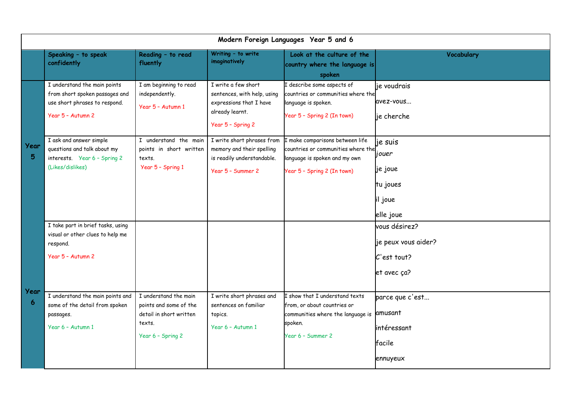| Modern Foreign Languages Year 5 and 6 |                                                                                                                      |                                                                                                           |                                                                                                                       |                                                                                                                                            |                                                                    |  |  |  |  |
|---------------------------------------|----------------------------------------------------------------------------------------------------------------------|-----------------------------------------------------------------------------------------------------------|-----------------------------------------------------------------------------------------------------------------------|--------------------------------------------------------------------------------------------------------------------------------------------|--------------------------------------------------------------------|--|--|--|--|
|                                       | Speaking - to speak<br>confidently                                                                                   | Reading - to read<br>fluently                                                                             | Writing - to write<br>imaginatively                                                                                   | Look at the culture of the<br>country where the language is<br>spoken                                                                      | Vocabulary                                                         |  |  |  |  |
| <b>Year</b><br>5.                     | I understand the main points<br>from short spoken passages and<br>use short phrases to respond.<br>Year 5 - Autumn 2 | I am beginning to read<br>independently.<br>Year 5 - Autumn 1                                             | I write a few short<br>sentences, with help, using<br>expressions that I have<br>already learnt.<br>Year 5 - Spring 2 | I describe some aspects of<br>countries or communities where the<br>language is spoken.<br>Year 5 - Spring 2 (In town)                     | je voudrais<br>avez-vous<br>je cherche                             |  |  |  |  |
|                                       | I ask and answer simple<br>questions and talk about my<br>interests. Year 6 - Spring 2<br>(Likes/dislikes)           | I understand the main<br>points in short written<br>texts.<br>Year 5 - Spring 1                           | I write short phrases from<br>memory and their spelling<br>is readily understandable.<br>Year 5 - Summer 2            | I make comparisons between life<br>countries or communities where the<br>language is spoken and my own<br>Year 5 - Spring 2 (In town)      | je suis<br>jouer<br>je joue<br>tu joues<br>il joue<br>elle joue    |  |  |  |  |
|                                       | I take part in brief tasks, using<br>visual or other clues to help me<br>respond.<br>Year 5 - Autumn 2               |                                                                                                           |                                                                                                                       |                                                                                                                                            | vous désirez?<br>je peux vous aider?<br>C'est tout?<br>et avec ça? |  |  |  |  |
| Year<br>6                             | I understand the main points and<br>some of the detail from spoken<br>passages.<br>Year 6 - Autumn 1                 | I understand the main<br>points and some of the<br>detail in short written<br>texts.<br>Year 6 - Spring 2 | I write short phrases and<br>sentences on familiar<br>topics.<br>Year 6 - Autumn 1                                    | I show that I understand texts<br>from, or about countries or<br>communities where the language is amusant<br>spoken.<br>Year 6 - Summer 2 | parce que c'est<br>intéressant<br>facile<br>ennuyeux               |  |  |  |  |